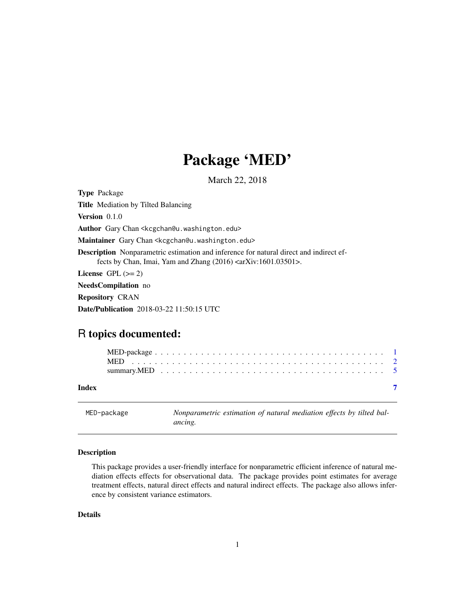## Package 'MED'

March 22, 2018

<span id="page-0-1"></span><span id="page-0-0"></span>Type Package Title Mediation by Tilted Balancing Version 0.1.0 Author Gary Chan <kcgchan@u.washington.edu> Maintainer Gary Chan <kcgchan@u.washington.edu> Description Nonparametric estimation and inference for natural direct and indirect effects by Chan, Imai, Yam and Zhang  $(2016)$  <arXiv:1601.03501>. License GPL  $(>= 2)$ NeedsCompilation no Repository CRAN

Date/Publication 2018-03-22 11:50:15 UTC

### R topics documented:

| Index |  |  |  |  |  |  |  |  |  |  |  |  |  |  |  |  |  |  |  |  |  |
|-------|--|--|--|--|--|--|--|--|--|--|--|--|--|--|--|--|--|--|--|--|--|
|       |  |  |  |  |  |  |  |  |  |  |  |  |  |  |  |  |  |  |  |  |  |

MED-package *Nonparametric estimation of natural mediation effects by tilted balancing.*

#### Description

This package provides a user-friendly interface for nonparametric efficient inference of natural mediation effects effects for observational data. The package provides point estimates for average treatment effects, natural direct effects and natural indirect effects. The package also allows inference by consistent variance estimators.

#### Details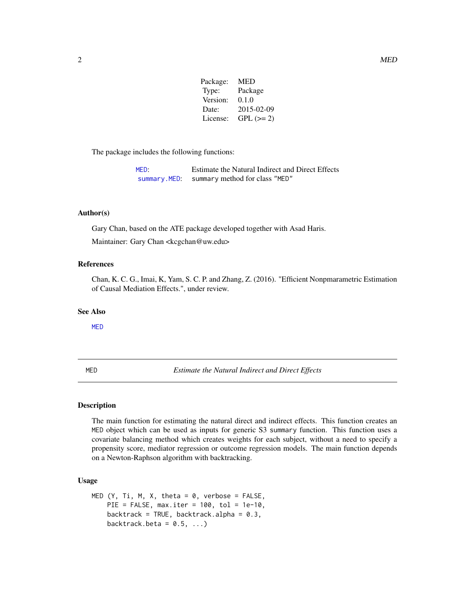| Package: | <b>MED</b> |
|----------|------------|
| Type:    | Package    |
| Version: | 0.1.0      |
| Date:    | 2015-02-09 |
| License: | $GPL (=2)$ |
|          |            |

<span id="page-1-0"></span>The package includes the following functions:

| MED: | Estimate the Natural Indirect and Direct Effects |
|------|--------------------------------------------------|
|      | summary. MED: summary method for class "MED"     |

#### Author(s)

Gary Chan, based on the ATE package developed together with Asad Haris.

Maintainer: Gary Chan <kcgchan@uw.edu>

#### References

Chan, K. C. G., Imai, K, Yam, S. C. P. and Zhang, Z. (2016). "Efficient Nonpmarametric Estimation of Causal Mediation Effects.", under review.

#### See Also

[MED](#page-1-1)

<span id="page-1-1"></span>MED *Estimate the Natural Indirect and Direct Effects*

#### Description

The main function for estimating the natural direct and indirect effects. This function creates an MED object which can be used as inputs for generic S3 summary function. This function uses a covariate balancing method which creates weights for each subject, without a need to specify a propensity score, mediator regression or outcome regression models. The main function depends on a Newton-Raphson algorithm with backtracking.

#### Usage

```
MED (Y, Ti, M, X, theta = 0, verbose = FALSE,PIE = FALSE, max.iter = 100, tol = 1e-10,
   backtrack = TRUE, backtrack.alpha = 0.3,
    backtrack.beta = 0.5, ...)
```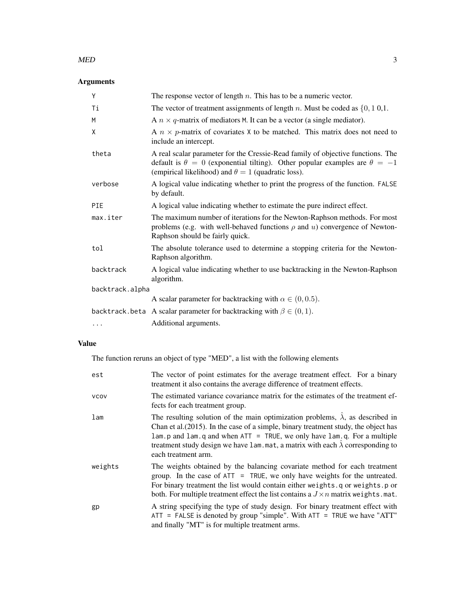#### $\mathbf{MED}$  3

#### Arguments

| Y               | The response vector of length $n$ . This has to be a numeric vector.                                                                                                                                                                    |
|-----------------|-----------------------------------------------------------------------------------------------------------------------------------------------------------------------------------------------------------------------------------------|
| Τi              | The vector of treatment assignments of length n. Must be coded as $\{0, 1, 0, 1\}$ .                                                                                                                                                    |
| M               | A $n \times q$ -matrix of mediators M. It can be a vector (a single mediator).                                                                                                                                                          |
| X               | A $n \times p$ -matrix of covariates X to be matched. This matrix does not need to<br>include an intercept.                                                                                                                             |
| theta           | A real scalar parameter for the Cressie-Read family of objective functions. The<br>default is $\theta = 0$ (exponential tilting). Other popular examples are $\theta = -1$<br>(empirical likelihood) and $\theta = 1$ (quadratic loss). |
| verbose         | A logical value indicating whether to print the progress of the function. FALSE<br>by default.                                                                                                                                          |
| PIE             | A logical value indicating whether to estimate the pure indirect effect.                                                                                                                                                                |
| max.iter        | The maximum number of iterations for the Newton-Raphson methods. For most<br>problems (e.g. with well-behaved functions $\rho$ and $u$ ) convergence of Newton-<br>Raphson should be fairly quick.                                      |
| tol             | The absolute tolerance used to determine a stopping criteria for the Newton-<br>Raphson algorithm.                                                                                                                                      |
| backtrack       | A logical value indicating whether to use backtracking in the Newton-Raphson<br>algorithm.                                                                                                                                              |
| backtrack.alpha |                                                                                                                                                                                                                                         |
|                 | A scalar parameter for backtracking with $\alpha \in (0, 0.5)$ .                                                                                                                                                                        |
|                 | backtrack.beta A scalar parameter for backtracking with $\beta \in (0,1)$ .                                                                                                                                                             |
| $\cdots$        | Additional arguments.                                                                                                                                                                                                                   |

#### Value

The function reruns an object of type "MED", a list with the following elements

| est         | The vector of point estimates for the average treatment effect. For a binary<br>treatment it also contains the average difference of treatment effects.                                                                                                                                                                                                                                 |
|-------------|-----------------------------------------------------------------------------------------------------------------------------------------------------------------------------------------------------------------------------------------------------------------------------------------------------------------------------------------------------------------------------------------|
| <b>VCOV</b> | The estimated variance covariance matrix for the estimates of the treatment ef-<br>fects for each treatment group.                                                                                                                                                                                                                                                                      |
| lam         | The resulting solution of the main optimization problems, $\hat{\lambda}$ , as described in<br>Chan et al. (2015). In the case of a simple, binary treatment study, the object has<br>$lam.p$ and $lam.q$ and when $ATT = TRUE$ , we only have $lam.q$ . For a multiple<br>treatment study design we have lam mat, a matrix with each $\lambda$ corresponding to<br>each treatment arm. |
| weights     | The weights obtained by the balancing covariate method for each treatment<br>group. In the case of $ATT = TRUE$ , we only have weights for the untreated.<br>For binary treatment the list would contain either weights.q or weights.p or<br>both. For multiple treatment effect the list contains a $J \times n$ matrix weights mat.                                                   |
| gp          | A string specifying the type of study design. For binary treatment effect with<br>$ATT = FALSE$ is denoted by group "simple". With $ATT = TRUE$ we have "ATT"<br>and finally "MT" is for multiple treatment arms.                                                                                                                                                                       |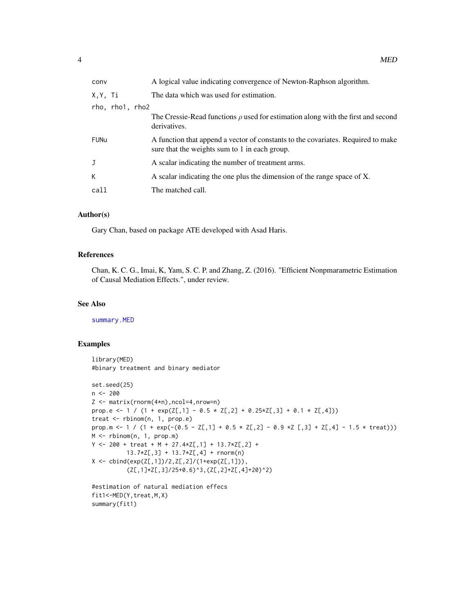<span id="page-3-0"></span>

| conv            | A logical value indicating convergence of Newton-Raphson algorithm.                                                               |
|-----------------|-----------------------------------------------------------------------------------------------------------------------------------|
| X,Y, Ti         | The data which was used for estimation.                                                                                           |
| rho, rho1, rho2 |                                                                                                                                   |
|                 | The Cressie-Read functions $\rho$ used for estimation along with the first and second<br>derivatives.                             |
| <b>FUNu</b>     | A function that append a vector of constants to the covariates. Required to make<br>sure that the weights sum to 1 in each group. |
| J               | A scalar indicating the number of treatment arms.                                                                                 |
| K.              | A scalar indicating the one plus the dimension of the range space of X.                                                           |
| call            | The matched call.                                                                                                                 |
|                 |                                                                                                                                   |

#### Author(s)

Gary Chan, based on package ATE developed with Asad Haris.

#### References

Chan, K. C. G., Imai, K, Yam, S. C. P. and Zhang, Z. (2016). "Efficient Nonpmarametric Estimation of Causal Mediation Effects.", under review.

#### See Also

[summary.MED](#page-4-1)

#### Examples

```
library(MED)
#binary treatment and binary mediator
set.seed(25)
n <- 200
Z <- matrix(rnorm(4*n),ncol=4,nrow=n)
prop.e <- 1 / (1 + \exp(Z[, 1] - 0.5 \times Z[, 2] + 0.25 \times Z[, 3] + 0.1 \times Z[, 4])treat <- rbinom(n, 1, prop.e)
prop.m <- 1 / (1 + exp(-(0.5 - Z[,1] + 0.5 \times Z[,2] - 0.9 \times Z[,3] + Z[,4] - 1.5 \times \text{treat}))M <- rbinom(n, 1, prop.m)
Y <- 200 + treat + M + 27.4*Z[,1] + 13.7*Z[,2] +
           13.7*Z[,3] + 13.7*Z[,4] + rnorm(n)
X \leftarrow \text{cbind}(\exp(Z[, 1])/2, Z[, 2]/(1+\exp(Z[, 1])),
           (Z[\,1] \times Z[\,3]/25+0.6)<sup>^</sup>3,(Z[,2]+Z[,4]+20)^2)
#estimation of natural mediation effecs
fit1<-MED(Y,treat,M,X)
```
summary(fit1)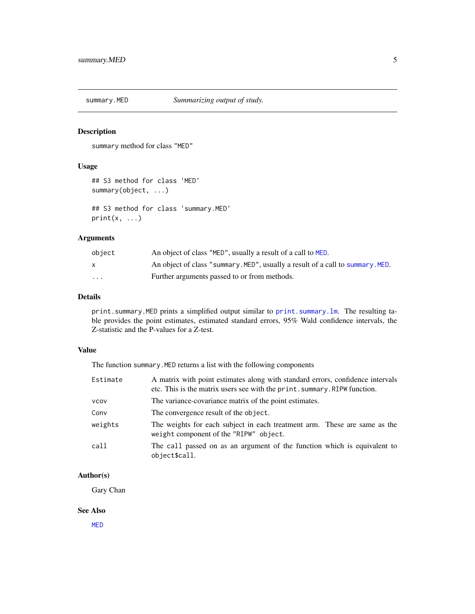<span id="page-4-1"></span><span id="page-4-0"></span>

#### Description

summary method for class "MED"

#### Usage

```
## S3 method for class 'MED'
summary(object, ...)
```
## S3 method for class 'summary.MED'  $print(x, \ldots)$ 

#### Arguments

| object       | An object of class "MED", usually a result of a call to MED.                   |
|--------------|--------------------------------------------------------------------------------|
| $\mathsf{x}$ | An object of class "summary. MED", usually a result of a call to summary. MED. |
| $\cdots$     | Further arguments passed to or from methods.                                   |

#### Details

print.summary.MED prints a simplified output similar to [print.summary.lm](#page-0-1). The resulting table provides the point estimates, estimated standard errors, 95% Wald confidence intervals, the Z-statistic and the P-values for a Z-test.

#### Value

The function summary.MED returns a list with the following components

| Estimate    | A matrix with point estimates along with standard errors, confidence intervals<br>etc. This is the matrix users see with the print. summary. RIPW function. |
|-------------|-------------------------------------------------------------------------------------------------------------------------------------------------------------|
| <b>VCOV</b> | The variance-covariance matrix of the point estimates.                                                                                                      |
| Conv        | The convergence result of the object.                                                                                                                       |
| weights     | The weights for each subject in each treatment arm. These are same as the<br>weight component of the "RIPW" object.                                         |
| call        | The call passed on as an argument of the function which is equivalent to<br>object\$call.                                                                   |

#### Author(s)

Gary Chan

#### See Also

[MED](#page-1-1)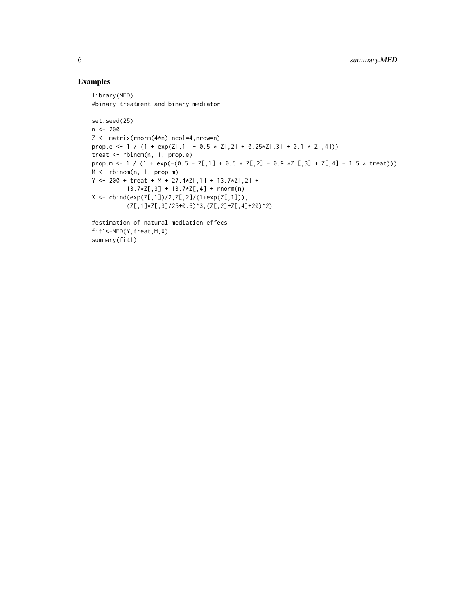#### Examples

```
library(MED)
#binary treatment and binary mediator
set.seed(25)
n <- 200
Z <- matrix(rnorm(4*n),ncol=4,nrow=n)
prop.e <- 1 / (1 + \exp(Z[, 1] - 0.5 \times Z[, 2] + 0.25 \times Z[, 3] + 0.1 \times Z[, 4])treat <- rbinom(n, 1, prop.e)
prop.m <- 1 / (1 + exp(-(0.5 - Z[,1] + 0.5 * Z[,2] - 0.9 *Z[,3] + Z[,4] - 1.5 * treat)))
M <- rbinom(n, 1, prop.m)
Y <- 200 + treat + M + 27.4*Z[,1] + 13.7*Z[,2] +
          13.7*Z[,3] + 13.7*Z[,4] + rnorm(n)
X \leftarrow \text{cbind}(\exp(Z[, 1])/2, Z[, 2]/(1+\exp(Z[, 1])),
           (Z[\,1]\times Z[\,3]/25+0.6)^3,(Z[,2]+Z[,4]+20)^2)
#estimation of natural mediation effecs
fit1<-MED(Y,treat,M,X)
summary(fit1)
```